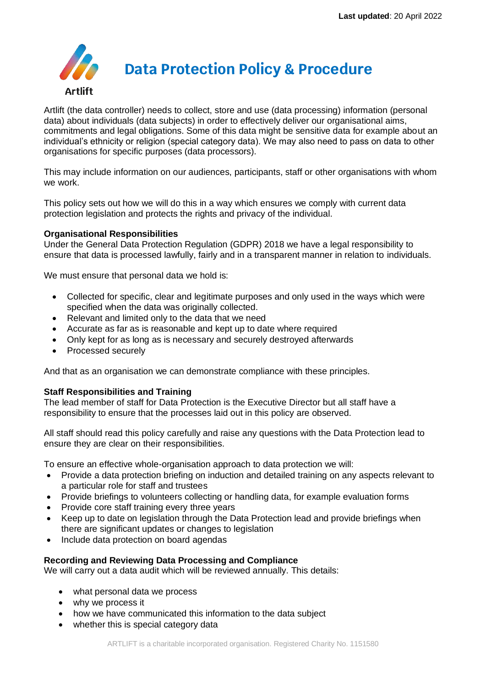

Artlift (the data controller) needs to collect, store and use (data processing) information (personal data) about individuals (data subjects) in order to effectively deliver our organisational aims, commitments and legal obligations. Some of this data might be sensitive data for example about an individual's ethnicity or religion (special category data). We may also need to pass on data to other organisations for specific purposes (data processors).

This may include information on our audiences, participants, staff or other organisations with whom we work.

This policy sets out how we will do this in a way which ensures we comply with current data protection legislation and protects the rights and privacy of the individual.

# **Organisational Responsibilities**

Under the General Data Protection Regulation (GDPR) 2018 we have a legal responsibility to ensure that data is processed lawfully, fairly and in a transparent manner in relation to individuals.

We must ensure that personal data we hold is:

- Collected for specific, clear and legitimate purposes and only used in the ways which were specified when the data was originally collected.
- Relevant and limited only to the data that we need
- Accurate as far as is reasonable and kept up to date where required
- Only kept for as long as is necessary and securely destroyed afterwards
- Processed securely

And that as an organisation we can demonstrate compliance with these principles.

# **Staff Responsibilities and Training**

The lead member of staff for Data Protection is the Executive Director but all staff have a responsibility to ensure that the processes laid out in this policy are observed.

All staff should read this policy carefully and raise any questions with the Data Protection lead to ensure they are clear on their responsibilities.

To ensure an effective whole-organisation approach to data protection we will:

- Provide a data protection briefing on induction and detailed training on any aspects relevant to a particular role for staff and trustees
- Provide briefings to volunteers collecting or handling data, for example evaluation forms
- Provide core staff training every three years
- Keep up to date on legislation through the Data Protection lead and provide briefings when there are significant updates or changes to legislation
- Include data protection on board agendas

# **Recording and Reviewing Data Processing and Compliance**

We will carry out a data audit which will be reviewed annually. This details:

- what personal data we process
- why we process it
- how we have communicated this information to the data subject
- whether this is special category data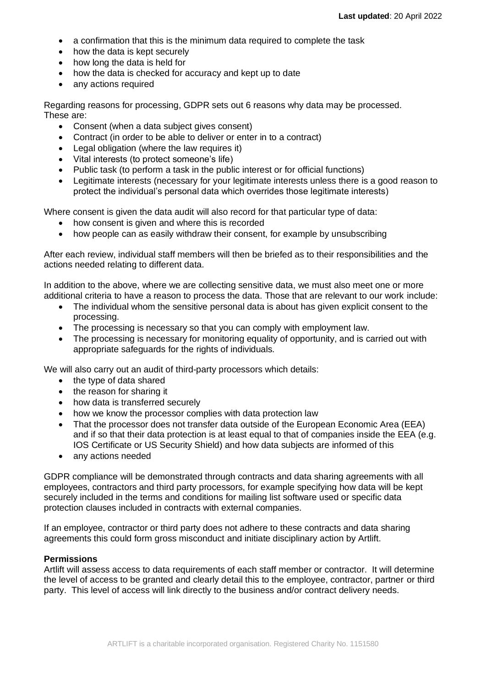- a confirmation that this is the minimum data required to complete the task
- how the data is kept securely
- how long the data is held for
- how the data is checked for accuracy and kept up to date
- any actions required

Regarding reasons for processing, GDPR sets out 6 reasons why data may be processed. These are:

- Consent (when a data subiect gives consent)
- Contract (in order to be able to deliver or enter in to a contract)
- Legal obligation (where the law requires it)
- Vital interests (to protect someone's life)
- Public task (to perform a task in the public interest or for official functions)
- Legitimate interests (necessary for your legitimate interests unless there is a good reason to protect the individual's personal data which overrides those legitimate interests)

Where consent is given the data audit will also record for that particular type of data:

- how consent is given and where this is recorded
- how people can as easily withdraw their consent, for example by unsubscribing

After each review, individual staff members will then be briefed as to their responsibilities and the actions needed relating to different data.

In addition to the above, where we are collecting sensitive data, we must also meet one or more additional criteria to have a reason to process the data. Those that are relevant to our work include:

- The individual whom the sensitive personal data is about has given explicit consent to the processing.
- The processing is necessary so that you can comply with employment law.
- The processing is necessary for monitoring equality of opportunity, and is carried out with appropriate safeguards for the rights of individuals.

We will also carry out an audit of third-party processors which details:

- the type of data shared
- the reason for sharing it
- how data is transferred securely
- how we know the processor complies with data protection law
- That the processor does not transfer data outside of the European Economic Area (EEA) and if so that their data protection is at least equal to that of companies inside the EEA (e.g. IOS Certificate or US Security Shield) and how data subjects are informed of this
- any actions needed

GDPR compliance will be demonstrated through contracts and data sharing agreements with all employees, contractors and third party processors, for example specifying how data will be kept securely included in the terms and conditions for mailing list software used or specific data protection clauses included in contracts with external companies.

If an employee, contractor or third party does not adhere to these contracts and data sharing agreements this could form gross misconduct and initiate disciplinary action by Artlift.

### **Permissions**

Artlift will assess access to data requirements of each staff member or contractor. It will determine the level of access to be granted and clearly detail this to the employee, contractor, partner or third party. This level of access will link directly to the business and/or contract delivery needs.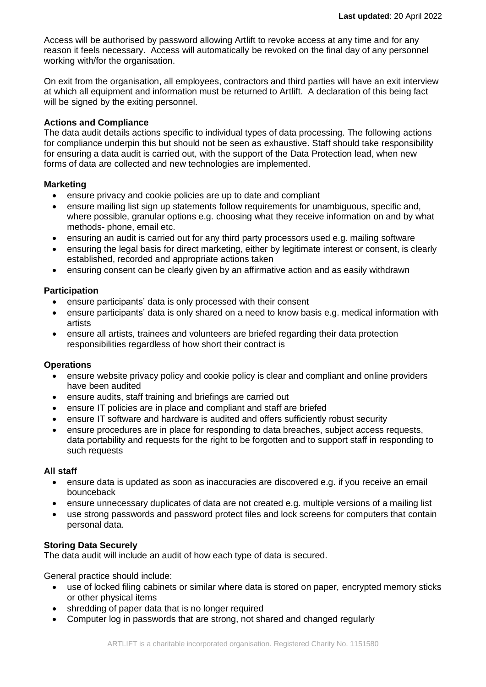Access will be authorised by password allowing Artlift to revoke access at any time and for any reason it feels necessary. Access will automatically be revoked on the final day of any personnel working with/for the organisation.

On exit from the organisation, all employees, contractors and third parties will have an exit interview at which all equipment and information must be returned to Artlift. A declaration of this being fact will be signed by the exiting personnel.

### **Actions and Compliance**

The data audit details actions specific to individual types of data processing. The following actions for compliance underpin this but should not be seen as exhaustive. Staff should take responsibility for ensuring a data audit is carried out, with the support of the Data Protection lead, when new forms of data are collected and new technologies are implemented.

### **Marketing**

- ensure privacy and cookie policies are up to date and compliant
- ensure mailing list sign up statements follow requirements for unambiguous, specific and, where possible, granular options e.g. choosing what they receive information on and by what methods- phone, email etc.
- ensuring an audit is carried out for any third party processors used e.g. mailing software
- ensuring the legal basis for direct marketing, either by legitimate interest or consent, is clearly established, recorded and appropriate actions taken
- ensuring consent can be clearly given by an affirmative action and as easily withdrawn

# **Participation**

- ensure participants' data is only processed with their consent
- ensure participants' data is only shared on a need to know basis e.g. medical information with artists
- ensure all artists, trainees and volunteers are briefed regarding their data protection responsibilities regardless of how short their contract is

# **Operations**

- ensure website privacy policy and cookie policy is clear and compliant and online providers have been audited
- ensure audits, staff training and briefings are carried out
- ensure IT policies are in place and compliant and staff are briefed
- ensure IT software and hardware is audited and offers sufficiently robust security
- ensure procedures are in place for responding to data breaches, subject access requests, data portability and requests for the right to be forgotten and to support staff in responding to such requests

### **All staff**

- ensure data is updated as soon as inaccuracies are discovered e.g. if you receive an email bounceback
- ensure unnecessary duplicates of data are not created e.g. multiple versions of a mailing list
- use strong passwords and password protect files and lock screens for computers that contain personal data.

# **Storing Data Securely**

The data audit will include an audit of how each type of data is secured.

General practice should include:

- use of locked filing cabinets or similar where data is stored on paper, encrypted memory sticks or other physical items
- shredding of paper data that is no longer required
- Computer log in passwords that are strong, not shared and changed regularly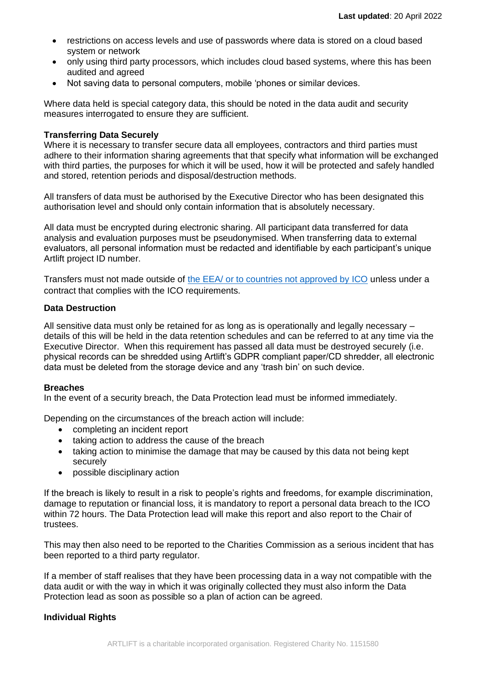- restrictions on access levels and use of passwords where data is stored on a cloud based system or network
- only using third party processors, which includes cloud based systems, where this has been audited and agreed
- Not saving data to personal computers, mobile 'phones or similar devices.

Where data held is special category data, this should be noted in the data audit and security measures interrogated to ensure they are sufficient.

### **Transferring Data Securely**

Where it is necessary to transfer secure data all employees, contractors and third parties must adhere to their information sharing agreements that that specify what information will be exchanged with third parties, the purposes for which it will be used, how it will be protected and safely handled and stored, retention periods and disposal/destruction methods.

All transfers of data must be authorised by the Executive Director who has been designated this authorisation level and should only contain information that is absolutely necessary.

All data must be encrypted during electronic sharing. All participant data transferred for data analysis and evaluation purposes must be pseudonymised. When transferring data to external evaluators, all personal information must be redacted and identifiable by each participant's unique Artlift project ID number.

Transfers must not made outside of [the EEA/ or to countries not approved by ICO](https://ico.org.uk/for-organisations/guide-to-the-general-data-protection-regulation-gdpr/international-transfers/) unless under a contract that complies with the ICO requirements.

### **Data Destruction**

All sensitive data must only be retained for as long as is operationally and legally necessary – details of this will be held in the data retention schedules and can be referred to at any time via the Executive Director. When this requirement has passed all data must be destroyed securely (i.e. physical records can be shredded using Artlift's GDPR compliant paper/CD shredder, all electronic data must be deleted from the storage device and any 'trash bin' on such device.

### **Breaches**

In the event of a security breach, the Data Protection lead must be informed immediately.

Depending on the circumstances of the breach action will include:

- completing an incident report
- taking action to address the cause of the breach
- taking action to minimise the damage that may be caused by this data not being kept securely
- possible disciplinary action

If the breach is likely to result in a risk to people's rights and freedoms, for example discrimination, damage to reputation or financial loss, it is mandatory to report a personal data breach to the ICO within 72 hours. The Data Protection lead will make this report and also report to the Chair of trustees.

This may then also need to be reported to the Charities Commission as a serious incident that has been reported to a third party regulator.

If a member of staff realises that they have been processing data in a way not compatible with the data audit or with the way in which it was originally collected they must also inform the Data Protection lead as soon as possible so a plan of action can be agreed.

# **Individual Rights**